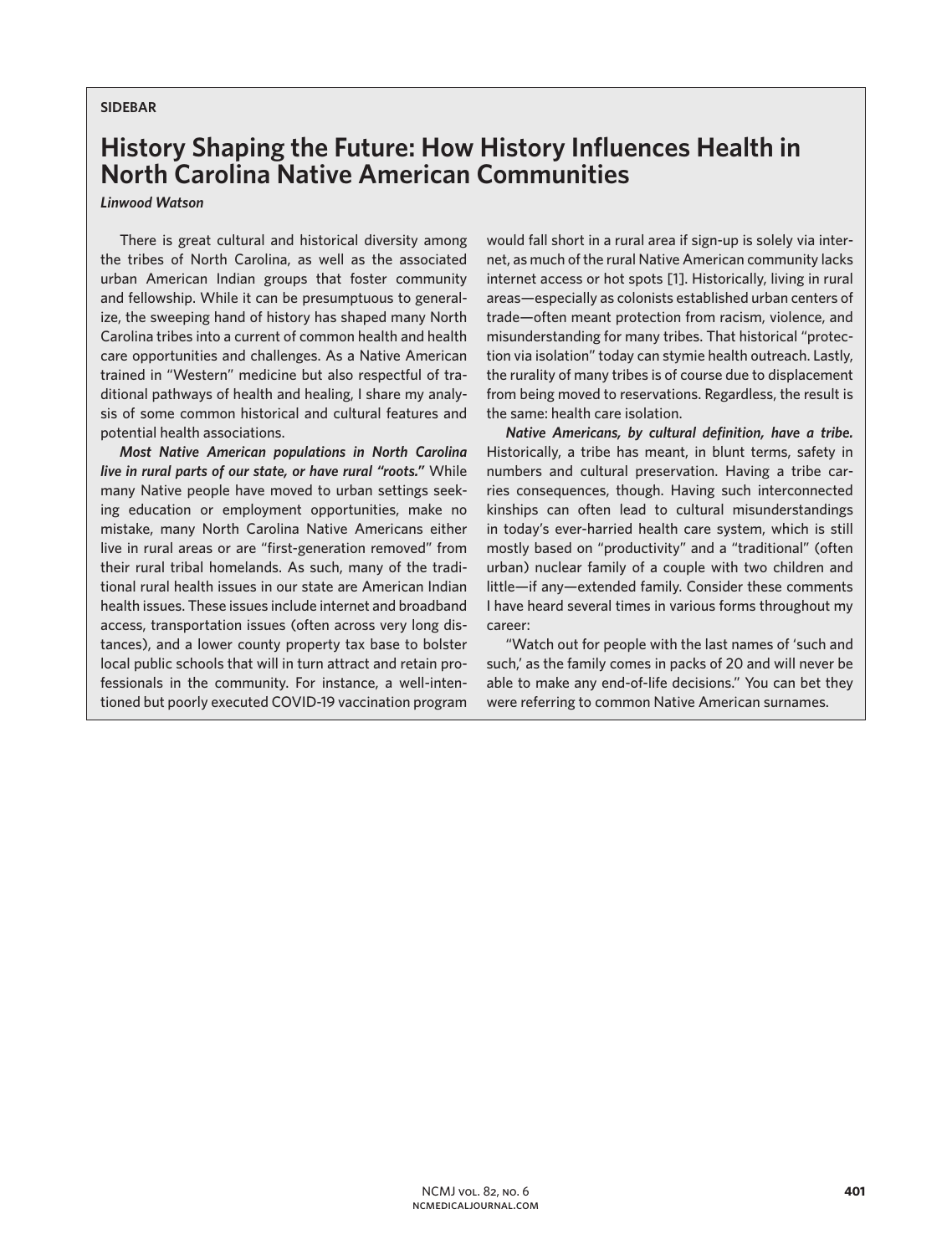## **SIDEBAR**

# **History Shaping the Future: How History Influences Health in North Carolina Native American Communities**

## *Linwood Watson*

There is great cultural and historical diversity among the tribes of North Carolina, as well as the associated urban American Indian groups that foster community and fellowship. While it can be presumptuous to generalize, the sweeping hand of history has shaped many North Carolina tribes into a current of common health and health care opportunities and challenges. As a Native American trained in "Western" medicine but also respectful of traditional pathways of health and healing, I share my analysis of some common historical and cultural features and potential health associations.

*Most Native American populations in North Carolina live in rural parts of our state, or have rural "roots."* While many Native people have moved to urban settings seeking education or employment opportunities, make no mistake, many North Carolina Native Americans either live in rural areas or are "first-generation removed" from their rural tribal homelands. As such, many of the traditional rural health issues in our state are American Indian health issues. These issues include internet and broadband access, transportation issues (often across very long distances), and a lower county property tax base to bolster local public schools that will in turn attract and retain professionals in the community. For instance, a well-intentioned but poorly executed COVID-19 vaccination program

would fall short in a rural area if sign-up is solely via internet, as much of the rural Native American community lacks internet access or hot spots [1]. Historically, living in rural areas—especially as colonists established urban centers of trade—often meant protection from racism, violence, and misunderstanding for many tribes. That historical "protection via isolation" today can stymie health outreach. Lastly, the rurality of many tribes is of course due to displacement from being moved to reservations. Regardless, the result is the same: health care isolation.

*Native Americans, by cultural definition, have a tribe.*  Historically, a tribe has meant, in blunt terms, safety in numbers and cultural preservation. Having a tribe carries consequences, though. Having such interconnected kinships can often lead to cultural misunderstandings in today's ever-harried health care system, which is still mostly based on "productivity" and a "traditional" (often urban) nuclear family of a couple with two children and little—if any—extended family. Consider these comments I have heard several times in various forms throughout my career:

"Watch out for people with the last names of 'such and such,' as the family comes in packs of 20 and will never be able to make any end-of-life decisions." You can bet they were referring to common Native American surnames.